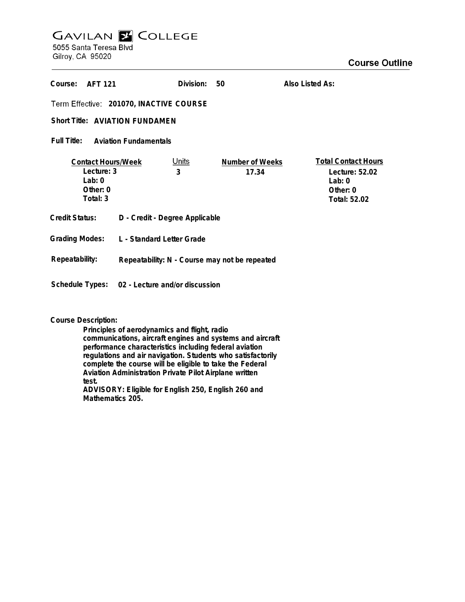## **GAVILAN E COLLEGE** 5055 Santa Teresa Blvd Gilroy, CA 95020

| Course:                                     | AFT 121                   | Division: | 50              | Also Listed As:            |
|---------------------------------------------|---------------------------|-----------|-----------------|----------------------------|
| Term Effective: 201070, INACTIVE COURSE     |                           |           |                 |                            |
| Short Title: AVIATION FUNDAMEN              |                           |           |                 |                            |
| Full Title:<br><b>Aviation Fundamentals</b> |                           |           |                 |                            |
|                                             | <b>Contact Hours/Week</b> | Units     | Number of Weeks | <b>Total Contact Hours</b> |
| Lecture: 3                                  |                           | 3         | 17.34           | Lecture: 52.02             |

**Grading Modes: L - Standard Letter Grade Lab: 0 Other: 0 Total: 3 Lab: 0 Other: 0 Total: 52.02 Credit Status: D - Credit - Degree Applicable 3 Repeatability: N - Course may not be repeated Schedule Types: 02 - Lecture and/or discussion Repeatability:**

## **Course Description:**

**Principles of aerodynamics and flight, radio communications, aircraft engines and systems and aircraft performance characteristics including federal aviation regulations and air navigation. Students who satisfactorily complete the course will be eligible to take the Federal Aviation Administration Private Pilot Airplane written test. ADVISORY: Eligible for English 250, English 260 and Mathematics 205.**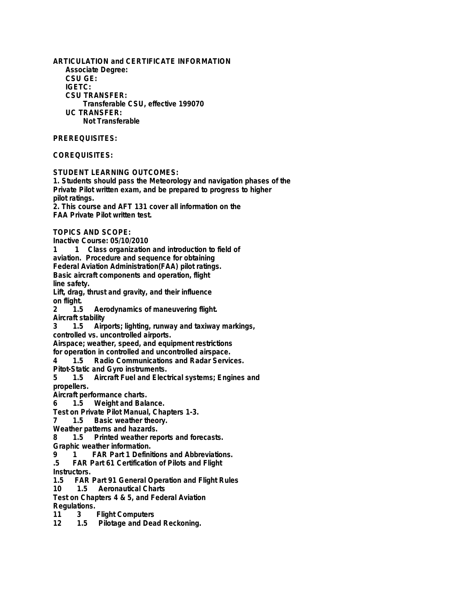**ARTICULATION and CERTIFICATE INFORMATION Associate Degree: CSU GE: IGETC: CSU TRANSFER: Transferable CSU, effective 199070 UC TRANSFER: Not Transferable PREREQUISITES: COREQUISITES: STUDENT LEARNING OUTCOMES: 1. Students should pass the Meteorology and navigation phases of the Private Pilot written exam, and be prepared to progress to higher pilot ratings.**

**2. This course and AFT 131 cover all information on the FAA Private Pilot written test.**

**TOPICS AND SCOPE:**

**Inactive Course: 05/10/2010**

**1 1 Class organization and introduction to field of**

**aviation. Procedure and sequence for obtaining**

**Federal Aviation Administration(FAA) pilot ratings.**

**Basic aircraft components and operation, flight line safety.**

**Lift, drag, thrust and gravity, and their influence on flight.**

**2 1.5 Aerodynamics of maneuvering flight. Aircraft stability**

**3 1.5 Airports; lighting, runway and taxiway markings,**

**controlled vs. uncontrolled airports.**

**Airspace; weather, speed, and equipment restrictions**

**for operation in controlled and uncontrolled airspace.**

**4 1.5 Radio Communications and Radar Services.**

**Pitot-Static and Gyro instruments.**

**5 1.5 Aircraft Fuel and Electrical systems; Engines and propellers.**

**Aircraft performance charts.**

**6 1.5 Weight and Balance.**

**Test on Private Pilot Manual, Chapters 1-3.**

**7 1.5 Basic weather theory.**

**Weather patterns and hazards.**

**8 1.5 Printed weather reports and forecasts.**

**Graphic weather information.**

**9 1 FAR Part 1 Definitions and Abbreviations.**

**.5 FAR Part 61 Certification of Pilots and Flight Instructors.**

**1.5 FAR Part 91 General Operation and Flight Rules**

**1** Aeronautical Charts

**Test on Chapters 4 & 5, and Federal Aviation Regulations.**

**11 3 Flight Computers**

1.5 Pilotage and Dead Reckoning.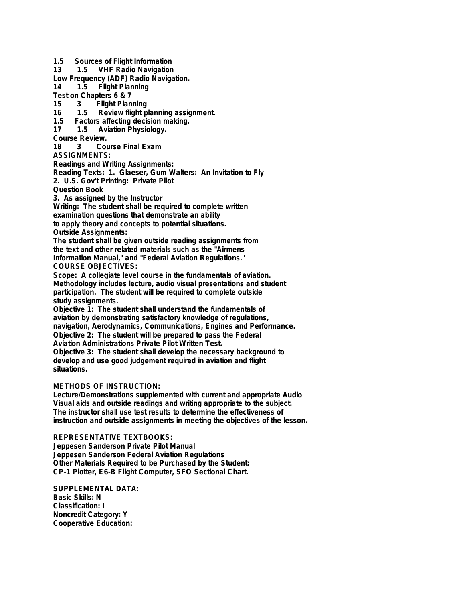**1.5 Sources of Flight Information**

**13 1.5 VHF Radio Navigation**

**Low Frequency (ADF) Radio Navigation.**

**Flight Planning** 

**Test on Chapters 6 & 7**

**15 3 Flight Planning**

**16 1.5 Review flight planning assignment.**

**1.5 Factors affecting decision making.**

**17 1.5 Aviation Physiology.**

**Course Review.**

**18 3 Course Final Exam**

**ASSIGNMENTS:**

**Readings and Writing Assignments:**

**Reading Texts: 1. Glaeser, Gum Walters: An Invitation to Fly**

**2. U.S. Gov't Printing: Private Pilot**

**Question Book**

**3. As assigned by the Instructor**

**Writing: The student shall be required to complete written examination questions that demonstrate an ability to apply theory and concepts to potential situations. Outside Assignments:**

**The student shall be given outside reading assignments from the text and other related materials such as the "Airmens Information Manual," and "Federal Aviation Regulations." COURSE OBJECTIVES:**

**Scope: A collegiate level course in the fundamentals of aviation. Methodology includes lecture, audio visual presentations and student participation. The student will be required to complete outside study assignments.**

**Objective 1: The student shall understand the fundamentals of aviation by demonstrating satisfactory knowledge of regulations, navigation, Aerodynamics, Communications, Engines and Performance. Objective 2: The student will be prepared to pass the Federal Aviation Administrations Private Pilot Written Test.**

**Objective 3: The student shall develop the necessary background to develop and use good judgement required in aviation and flight situations.**

## **METHODS OF INSTRUCTION:**

**Lecture/Demonstrations supplemented with current and appropriate Audio Visual aids and outside readings and writing appropriate to the subject. The instructor shall use test results to determine the effectiveness of instruction and outside assignments in meeting the objectives of the lesson.**

## **REPRESENTATIVE TEXTBOOKS:**

**Jeppesen Sanderson Private Pilot Manual Jeppesen Sanderson Federal Aviation Regulations Other Materials Required to be Purchased by the Student: CP-1 Plotter, E6-B Flight Computer, SFO Sectional Chart.**

**SUPPLEMENTAL DATA: Basic Skills: N Classification: I Noncredit Category: Y Cooperative Education:**